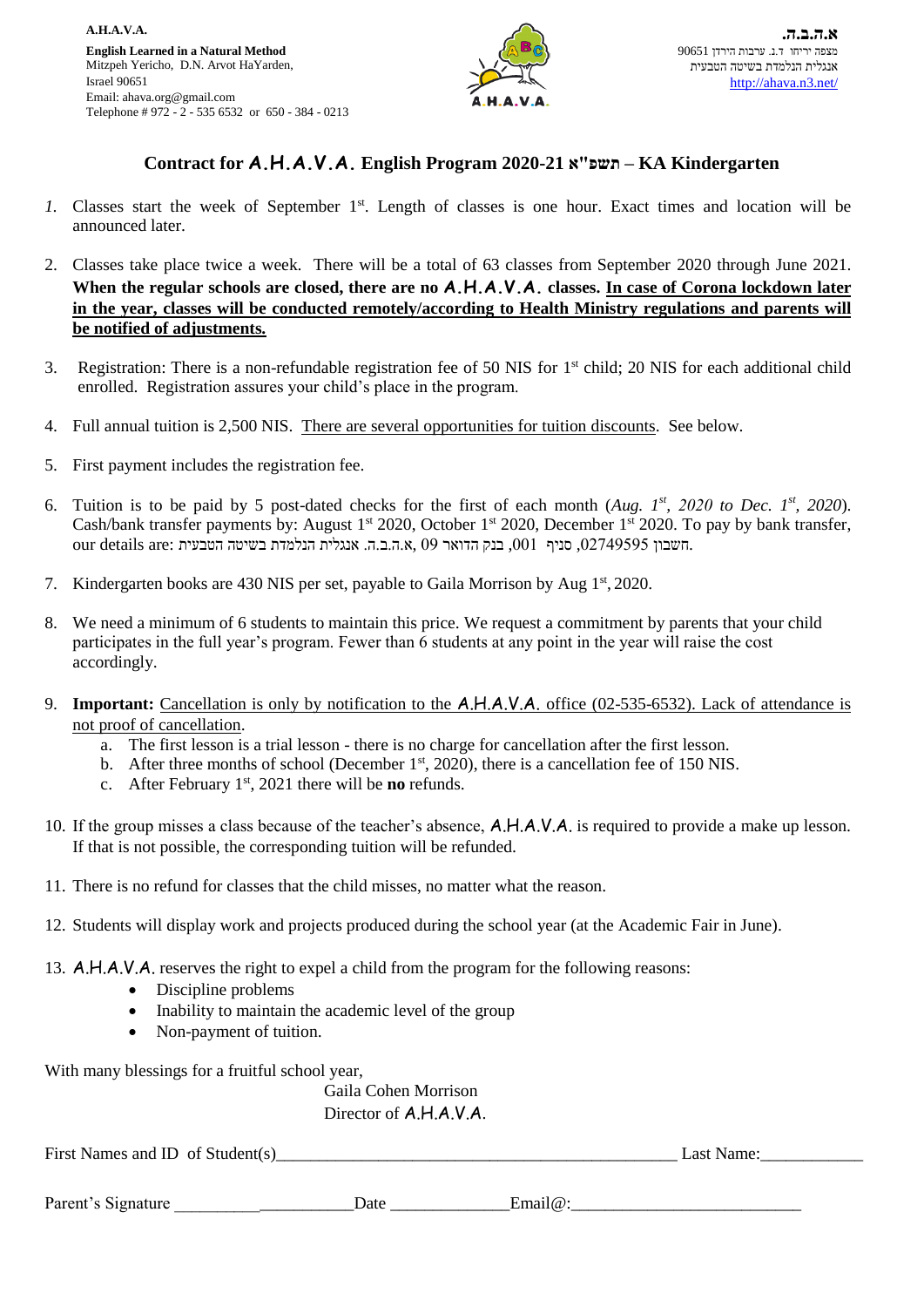

## **Contract for A.H.A.V.A. English Program 2020-21 א"תשפ – KA Kindergarten**

- 1. Classes start the week of September 1<sup>st</sup>. Length of classes is one hour. Exact times and location will be announced later.
- 2. Classes take place twice a week. There will be a total of 63 classes from September 2020 through June 2021. **When the regular schools are closed, there are no A.H.A.V.A. classes. In case of Corona lockdown later in the year, classes will be conducted remotely/according to Health Ministry regulations and parents will be notified of adjustments.**
- 3. Registration: There is a non-refundable registration fee of 50 NIS for 1st child; 20 NIS for each additional child enrolled. Registration assures your child's place in the program.
- 4. Full annual tuition is 2,500 NIS. There are several opportunities for tuition discounts. See below.
- 5. First payment includes the registration fee.
- 6. Tuition is to be paid by 5 post-dated checks for the first of each month (Aug.  $I^{st}$ , 2020 *to Dec.*  $I^{st}$ , 2020). Cash/bank transfer payments by: August 1<sup>st</sup> 2020, October 1<sup>st</sup> 2020, December 1<sup>st</sup> 2020. To pay by bank transfer, our details are: חשבון 02749595, סניף ,001 בנק הדואר 09 ,א.ה.ב.ה. אנגלית הנלמדת בשיטה הטבעית
- 7. Kindergarten books are 430 NIS per set, payable to Gaila Morrison by Aug 1<sup>st</sup>, 2020.
- 8. We need a minimum of 6 students to maintain this price. We request a commitment by parents that your child participates in the full year's program. Fewer than 6 students at any point in the year will raise the cost accordingly.
- 9. **Important:** Cancellation is only by notification to the A.H.A.V.A. office (02-535-6532). Lack of attendance is not proof of cancellation.
	- a. The first lesson is a trial lesson there is no charge for cancellation after the first lesson.
	- b. After three months of school (December  $1<sup>st</sup>$ , 2020), there is a cancellation fee of 150 NIS.
	- c. After February 1st, 2021 there will be **no** refunds.
- 10. If the group misses a class because of the teacher's absence, A.H.A.V.A. is required to provide a make up lesson. If that is not possible, the corresponding tuition will be refunded.
- 11. There is no refund for classes that the child misses, no matter what the reason.
- 12. Students will display work and projects produced during the school year (at the Academic Fair in June).
- 13. A.H.A.V.A. reserves the right to expel a child from the program for the following reasons:
	- Discipline problems
	- Inability to maintain the academic level of the group
	- Non-payment of tuition.

With many blessings for a fruitful school year,

Gaila Cohen Morrison Director of A.H.A.V.A.

First Names and ID of Student(s) example 1 and the student of the student of the student of the student of the student of the student of the student of the student of the student of the student of the student of the studen

| Parent<br>ture<br>на<br>$\cdots$ | ) at<br>. |  |
|----------------------------------|-----------|--|
|                                  |           |  |